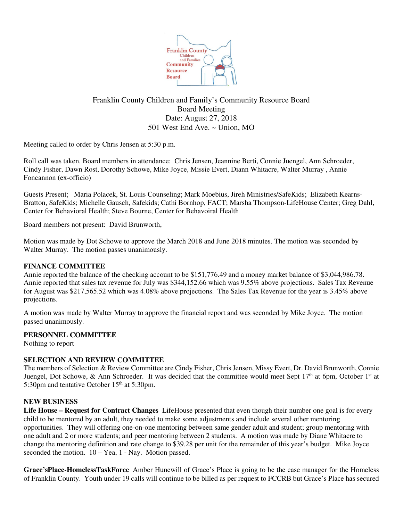

# Franklin County Children and Family's Community Resource Board Board Meeting Date: August 27, 2018 501 West End Ave. ~ Union, MO

Meeting called to order by Chris Jensen at 5:30 p.m.

Roll call was taken. Board members in attendance: Chris Jensen, Jeannine Berti, Connie Juengel, Ann Schroeder, Cindy Fisher, Dawn Rost, Dorothy Schowe, Mike Joyce, Missie Evert, Diann Whitacre, Walter Murray , Annie Foncannon (ex-officio)

Guests Present; Maria Polacek, St. Louis Counseling; Mark Moebius, Jireh Ministries/SafeKids; Elizabeth Kearns-Bratton, SafeKids; Michelle Gausch, Safekids; Cathi Bornhop, FACT; Marsha Thompson-LifeHouse Center; Greg Dahl, Center for Behavioral Health; Steve Bourne, Center for Behavoiral Health

Board members not present: David Brunworth,

Motion was made by Dot Schowe to approve the March 2018 and June 2018 minutes. The motion was seconded by Walter Murray. The motion passes unanimously.

# **FINANCE COMMITTEE**

Annie reported the balance of the checking account to be \$151,776.49 and a money market balance of \$3,044,986.78. Annie reported that sales tax revenue for July was \$344,152.66 which was 9.55% above projections. Sales Tax Revenue for August was \$217,565.52 which was 4.08% above projections. The Sales Tax Revenue for the year is 3.45% above projections.

A motion was made by Walter Murray to approve the financial report and was seconded by Mike Joyce. The motion passed unanimously.

#### **PERSONNEL COMMITTEE**

Nothing to report

#### **SELECTION AND REVIEW COMMITTEE**

The members of Selection & Review Committee are Cindy Fisher, Chris Jensen, Missy Evert, Dr. David Brunworth, Connie Juengel, Dot Schowe, & Ann Schroeder. It was decided that the committee would meet Sept 17<sup>th</sup> at 6pm. October 1<sup>st</sup> at 5:30pm and tentative October 15<sup>th</sup> at 5:30pm.

#### **NEW BUSINESS**

Life House – Request for Contract Changes LifeHouse presented that even though their number one goal is for every child to be mentored by an adult, they needed to make some adjustments and include several other mentoring opportunities. They will offering one-on-one mentoring between same gender adult and student; group mentoring with one adult and 2 or more students; and peer mentoring between 2 students. A motion was made by Diane Whitacre to change the mentoring definition and rate change to \$39.28 per unit for the remainder of this year's budget. Mike Joyce seconded the motion. 10 – Yea, 1 - Nay. Motion passed.

**Grace'sPlace-HomelessTaskForce** Amber Hunewill of Grace's Place is going to be the case manager for the Homeless of Franklin County. Youth under 19 calls will continue to be billed as per request to FCCRB but Grace's Place has secured